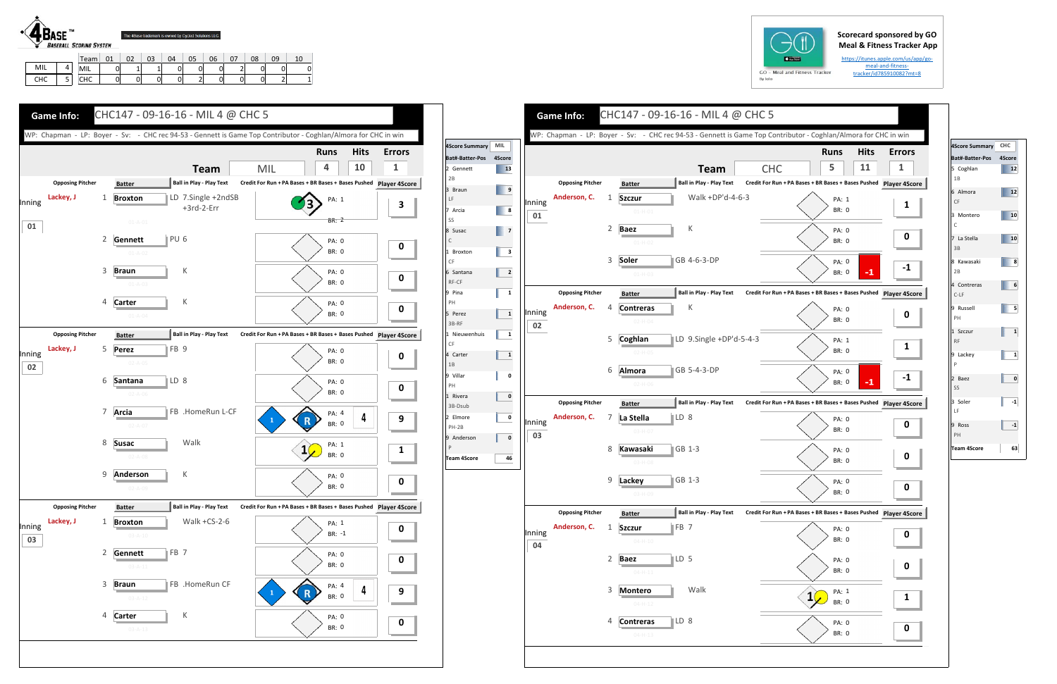## **Scorecard sponsored by GO Meal & Fitness Tracker App**

https://itunes.apple.com/us/app/go‐ meal‐and‐fitness‐ tracker/id785910082?mt=8



L | 4

MIL | 0 | 1 | 1 | 0 | 0 | 0 | 2 | 0 | 0 | 0

| a. | GO      |  |
|----|---------|--|
|    | By Iolo |  |

| <b>CHC</b><br>5<br><b>Team</b><br><b>Ball in Play - Play Text</b><br><b>Opposing Pitcher</b><br>Credit For Run + PA Bases + BR Bases + Bases Pushed Player 49<br><b>Batter</b><br>Anderson, C.<br>Walk +DP'd-4-6-3<br>$\mathbf{1}$<br><b>Szczur</b><br>PA: 1<br>Inning<br><b>BR: 0</b><br>$01 - H - 01$<br>01<br>2<br>К<br><b>Baez</b><br>PA: 0<br><b>BR: 0</b><br>$01-H-02$<br>3<br>GB 4-6-3-DP<br>Soler<br>PA: 0<br>BR: 0<br>$01-H-03$<br><b>Ball in Play - Play Text</b><br>Credit For Run + PA Bases + BR Bases + Bases Pushed Player 4S<br><b>Opposing Pitcher</b><br><b>Batter</b><br>Anderson, C.<br>К<br>4<br>Contreras<br>PA: 0<br>Inning<br><b>BR: 0</b><br>$02-H-04$<br>02<br>LD 9.Single +DP'd-5-4-3<br>5<br>Coghlan<br>PA: 1<br>BR: 0<br>$02 - H - 05$<br>Almora<br>GB 5-4-3-DP<br>6<br>PA: 0<br><b>BR: 0</b><br>$02-H-06$<br><b>Opposing Pitcher</b><br><b>Ball in Play - Play Text</b><br>Credit For Run + PA Bases + BR Bases + Bases Pushed Player 49<br><b>Batter</b><br>Anderson, C.<br>∥LD 8<br>7<br>La Stella<br>PA: 0<br>Inning<br>BR: 0<br>03-H-07<br>03<br>8<br>$\blacksquare$ GB 1-3<br>Kawasaki<br>PA: 0<br><b>BR: 0</b><br>$03-H-08$<br>9<br>$\parallel$ GB 1-3<br>Lackey<br>PA: 0<br>BR: 0<br>03-H-09<br><b>Opposing Pitcher</b><br><b>Ball in Play - Play Text</b><br>Credit For Run + PA Bases + BR Bases + Bases Pushed Player 4S<br><b>Batter</b><br>Anderson, C.<br>FB <sub>7</sub><br>1<br><b>Szczur</b><br>PA: 0<br>Inning<br>BR: 0<br>$04 - H - 10$<br>04<br>2<br>$\mathbb{ID} 5$<br><b>Baez</b><br>PA: 0<br>BR: 0<br>$04 - H - 11$<br>3<br>Walk<br>Montero<br>PA: 1<br>BR: 0<br>$04 - H - 12$<br>$\mathsf{LD} 8$<br>4<br><b>Contreras</b><br>PA: 0 |  |  | WP: Chapman - LP: Boyer - Sv: - CHC rec 94-53 - Gennett is Game Top Contributor - Coghlan/Almora for CHC in win |             |             |
|-----------------------------------------------------------------------------------------------------------------------------------------------------------------------------------------------------------------------------------------------------------------------------------------------------------------------------------------------------------------------------------------------------------------------------------------------------------------------------------------------------------------------------------------------------------------------------------------------------------------------------------------------------------------------------------------------------------------------------------------------------------------------------------------------------------------------------------------------------------------------------------------------------------------------------------------------------------------------------------------------------------------------------------------------------------------------------------------------------------------------------------------------------------------------------------------------------------------------------------------------------------------------------------------------------------------------------------------------------------------------------------------------------------------------------------------------------------------------------------------------------------------------------------------------------------------------------------------------------------------------------------------------------------------------------------------|--|--|-----------------------------------------------------------------------------------------------------------------|-------------|-------------|
|                                                                                                                                                                                                                                                                                                                                                                                                                                                                                                                                                                                                                                                                                                                                                                                                                                                                                                                                                                                                                                                                                                                                                                                                                                                                                                                                                                                                                                                                                                                                                                                                                                                                                         |  |  |                                                                                                                 | <b>Runs</b> | <b>Hits</b> |
|                                                                                                                                                                                                                                                                                                                                                                                                                                                                                                                                                                                                                                                                                                                                                                                                                                                                                                                                                                                                                                                                                                                                                                                                                                                                                                                                                                                                                                                                                                                                                                                                                                                                                         |  |  |                                                                                                                 |             | 11          |
|                                                                                                                                                                                                                                                                                                                                                                                                                                                                                                                                                                                                                                                                                                                                                                                                                                                                                                                                                                                                                                                                                                                                                                                                                                                                                                                                                                                                                                                                                                                                                                                                                                                                                         |  |  |                                                                                                                 |             |             |
|                                                                                                                                                                                                                                                                                                                                                                                                                                                                                                                                                                                                                                                                                                                                                                                                                                                                                                                                                                                                                                                                                                                                                                                                                                                                                                                                                                                                                                                                                                                                                                                                                                                                                         |  |  |                                                                                                                 |             |             |
|                                                                                                                                                                                                                                                                                                                                                                                                                                                                                                                                                                                                                                                                                                                                                                                                                                                                                                                                                                                                                                                                                                                                                                                                                                                                                                                                                                                                                                                                                                                                                                                                                                                                                         |  |  |                                                                                                                 |             |             |
|                                                                                                                                                                                                                                                                                                                                                                                                                                                                                                                                                                                                                                                                                                                                                                                                                                                                                                                                                                                                                                                                                                                                                                                                                                                                                                                                                                                                                                                                                                                                                                                                                                                                                         |  |  |                                                                                                                 |             |             |
|                                                                                                                                                                                                                                                                                                                                                                                                                                                                                                                                                                                                                                                                                                                                                                                                                                                                                                                                                                                                                                                                                                                                                                                                                                                                                                                                                                                                                                                                                                                                                                                                                                                                                         |  |  |                                                                                                                 |             |             |
|                                                                                                                                                                                                                                                                                                                                                                                                                                                                                                                                                                                                                                                                                                                                                                                                                                                                                                                                                                                                                                                                                                                                                                                                                                                                                                                                                                                                                                                                                                                                                                                                                                                                                         |  |  |                                                                                                                 |             |             |
|                                                                                                                                                                                                                                                                                                                                                                                                                                                                                                                                                                                                                                                                                                                                                                                                                                                                                                                                                                                                                                                                                                                                                                                                                                                                                                                                                                                                                                                                                                                                                                                                                                                                                         |  |  |                                                                                                                 |             | -1          |
|                                                                                                                                                                                                                                                                                                                                                                                                                                                                                                                                                                                                                                                                                                                                                                                                                                                                                                                                                                                                                                                                                                                                                                                                                                                                                                                                                                                                                                                                                                                                                                                                                                                                                         |  |  |                                                                                                                 |             |             |
|                                                                                                                                                                                                                                                                                                                                                                                                                                                                                                                                                                                                                                                                                                                                                                                                                                                                                                                                                                                                                                                                                                                                                                                                                                                                                                                                                                                                                                                                                                                                                                                                                                                                                         |  |  |                                                                                                                 |             |             |
|                                                                                                                                                                                                                                                                                                                                                                                                                                                                                                                                                                                                                                                                                                                                                                                                                                                                                                                                                                                                                                                                                                                                                                                                                                                                                                                                                                                                                                                                                                                                                                                                                                                                                         |  |  |                                                                                                                 |             |             |
|                                                                                                                                                                                                                                                                                                                                                                                                                                                                                                                                                                                                                                                                                                                                                                                                                                                                                                                                                                                                                                                                                                                                                                                                                                                                                                                                                                                                                                                                                                                                                                                                                                                                                         |  |  |                                                                                                                 |             |             |
|                                                                                                                                                                                                                                                                                                                                                                                                                                                                                                                                                                                                                                                                                                                                                                                                                                                                                                                                                                                                                                                                                                                                                                                                                                                                                                                                                                                                                                                                                                                                                                                                                                                                                         |  |  |                                                                                                                 |             |             |
|                                                                                                                                                                                                                                                                                                                                                                                                                                                                                                                                                                                                                                                                                                                                                                                                                                                                                                                                                                                                                                                                                                                                                                                                                                                                                                                                                                                                                                                                                                                                                                                                                                                                                         |  |  |                                                                                                                 |             |             |
|                                                                                                                                                                                                                                                                                                                                                                                                                                                                                                                                                                                                                                                                                                                                                                                                                                                                                                                                                                                                                                                                                                                                                                                                                                                                                                                                                                                                                                                                                                                                                                                                                                                                                         |  |  |                                                                                                                 |             | $-1$        |
|                                                                                                                                                                                                                                                                                                                                                                                                                                                                                                                                                                                                                                                                                                                                                                                                                                                                                                                                                                                                                                                                                                                                                                                                                                                                                                                                                                                                                                                                                                                                                                                                                                                                                         |  |  |                                                                                                                 |             |             |
|                                                                                                                                                                                                                                                                                                                                                                                                                                                                                                                                                                                                                                                                                                                                                                                                                                                                                                                                                                                                                                                                                                                                                                                                                                                                                                                                                                                                                                                                                                                                                                                                                                                                                         |  |  |                                                                                                                 |             |             |
|                                                                                                                                                                                                                                                                                                                                                                                                                                                                                                                                                                                                                                                                                                                                                                                                                                                                                                                                                                                                                                                                                                                                                                                                                                                                                                                                                                                                                                                                                                                                                                                                                                                                                         |  |  |                                                                                                                 |             |             |
|                                                                                                                                                                                                                                                                                                                                                                                                                                                                                                                                                                                                                                                                                                                                                                                                                                                                                                                                                                                                                                                                                                                                                                                                                                                                                                                                                                                                                                                                                                                                                                                                                                                                                         |  |  |                                                                                                                 |             |             |
|                                                                                                                                                                                                                                                                                                                                                                                                                                                                                                                                                                                                                                                                                                                                                                                                                                                                                                                                                                                                                                                                                                                                                                                                                                                                                                                                                                                                                                                                                                                                                                                                                                                                                         |  |  |                                                                                                                 |             |             |
|                                                                                                                                                                                                                                                                                                                                                                                                                                                                                                                                                                                                                                                                                                                                                                                                                                                                                                                                                                                                                                                                                                                                                                                                                                                                                                                                                                                                                                                                                                                                                                                                                                                                                         |  |  |                                                                                                                 |             |             |
|                                                                                                                                                                                                                                                                                                                                                                                                                                                                                                                                                                                                                                                                                                                                                                                                                                                                                                                                                                                                                                                                                                                                                                                                                                                                                                                                                                                                                                                                                                                                                                                                                                                                                         |  |  |                                                                                                                 |             |             |
|                                                                                                                                                                                                                                                                                                                                                                                                                                                                                                                                                                                                                                                                                                                                                                                                                                                                                                                                                                                                                                                                                                                                                                                                                                                                                                                                                                                                                                                                                                                                                                                                                                                                                         |  |  |                                                                                                                 |             |             |
|                                                                                                                                                                                                                                                                                                                                                                                                                                                                                                                                                                                                                                                                                                                                                                                                                                                                                                                                                                                                                                                                                                                                                                                                                                                                                                                                                                                                                                                                                                                                                                                                                                                                                         |  |  |                                                                                                                 |             |             |
|                                                                                                                                                                                                                                                                                                                                                                                                                                                                                                                                                                                                                                                                                                                                                                                                                                                                                                                                                                                                                                                                                                                                                                                                                                                                                                                                                                                                                                                                                                                                                                                                                                                                                         |  |  |                                                                                                                 |             |             |
|                                                                                                                                                                                                                                                                                                                                                                                                                                                                                                                                                                                                                                                                                                                                                                                                                                                                                                                                                                                                                                                                                                                                                                                                                                                                                                                                                                                                                                                                                                                                                                                                                                                                                         |  |  |                                                                                                                 |             |             |
|                                                                                                                                                                                                                                                                                                                                                                                                                                                                                                                                                                                                                                                                                                                                                                                                                                                                                                                                                                                                                                                                                                                                                                                                                                                                                                                                                                                                                                                                                                                                                                                                                                                                                         |  |  |                                                                                                                 |             |             |
|                                                                                                                                                                                                                                                                                                                                                                                                                                                                                                                                                                                                                                                                                                                                                                                                                                                                                                                                                                                                                                                                                                                                                                                                                                                                                                                                                                                                                                                                                                                                                                                                                                                                                         |  |  |                                                                                                                 |             |             |
|                                                                                                                                                                                                                                                                                                                                                                                                                                                                                                                                                                                                                                                                                                                                                                                                                                                                                                                                                                                                                                                                                                                                                                                                                                                                                                                                                                                                                                                                                                                                                                                                                                                                                         |  |  |                                                                                                                 |             |             |
|                                                                                                                                                                                                                                                                                                                                                                                                                                                                                                                                                                                                                                                                                                                                                                                                                                                                                                                                                                                                                                                                                                                                                                                                                                                                                                                                                                                                                                                                                                                                                                                                                                                                                         |  |  |                                                                                                                 |             |             |
|                                                                                                                                                                                                                                                                                                                                                                                                                                                                                                                                                                                                                                                                                                                                                                                                                                                                                                                                                                                                                                                                                                                                                                                                                                                                                                                                                                                                                                                                                                                                                                                                                                                                                         |  |  |                                                                                                                 |             |             |







| 4Score Summary CHC        |        |
|---------------------------|--------|
| Bat#-Batter-Pos           | 4Score |
| 5 Coghlan<br>1B           | 12     |
| 6 Almora<br>CF            | 12     |
| 3 Montero<br>$\mathsf{C}$ | 10     |
| 7 La Stella<br>3B         | 10     |
| 8 Kawasaki<br>2B          | 8      |
| 4 Contreras<br>$C-LF$     | 6      |
| 9 Russell<br>PH           | 5      |
| 1 Szczur<br>RF            | 1      |
| 9 Lackey<br>$\sf P$       | 1      |
| 2 Baez<br>SS              | 0      |
| 3 Soler<br>LF             | $-1$   |
| 9 Ross<br>PH              | $-1$   |
| <b>Team 4Score</b>        | 63     |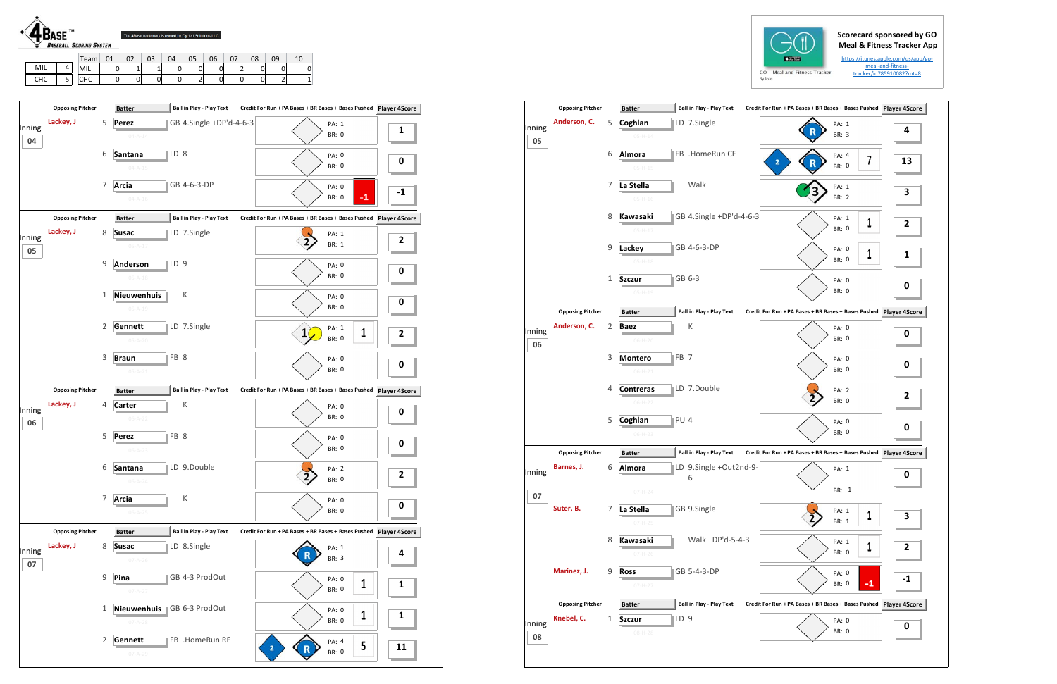## **Scorecard sponsored by GO Meal & Fitness Tracker App**

https://itunes.apple.com/us/app/go‐ meal‐and‐fitness‐ tracker/id785910082?mt=8



|     |        | Team       | 01 | 02 | 03 | 04 | 05     | 06 | $\sim$<br>ັ | 08      | 09 | . e |
|-----|--------|------------|----|----|----|----|--------|----|-------------|---------|----|-----|
| MIL |        | MIL        | 0  | -  |    | 0  | 0      |    |             | ⌒<br>ັ  | 01 |     |
| снс | -<br>◡ | <b>CHC</b> | 0  | ⌒  |    | 0  | -<br>- |    |             | ⌒<br>U. | ∼  |     |



|              | <b>Opposing Pitcher</b> |   | <b>Batter</b>                    |                 | <b>Ball in Play - Play Text</b> | Credit For Run + PA Bases + BR Bases + Bases Pushed Player 4S |    |                |
|--------------|-------------------------|---|----------------------------------|-----------------|---------------------------------|---------------------------------------------------------------|----|----------------|
| Inning<br>05 | Anderson, C.            | 5 | Coghlan<br>$05-H-14$             |                 | LD 7.Single                     | PA: 1<br><b>BR: 3</b>                                         |    | 4              |
|              |                         | 6 | <b>Almora</b><br>$05-H-15$       |                 | FB .HomeRun CF                  | PA: 4<br>2<br>BR: 0                                           | 7  | $\mathbf{1}$   |
|              |                         | 7 | La Stella<br>$05 - H - 16$       |                 | Walk                            | PA: 1<br><b>BR: 2</b>                                         |    | З              |
|              |                         | 8 | <b>Kawasaki</b><br>$05-H-17$     |                 | GB 4.Single +DP'd-4-6-3         | PA: 1<br>BR: 0                                                | 1  | 2              |
|              |                         | 9 | Lackey<br>$05 - H - 18$          |                 | GB 4-6-3-DP                     | PA: 0<br>BR: 0                                                | 1  | 1              |
|              |                         | 1 | <b>Szczur</b><br>$05-H-19$       |                 | GB 6-3                          | PA: 0<br><b>BR: 0</b>                                         |    | 0              |
|              | <b>Opposing Pitcher</b> |   | <b>Batter</b>                    |                 | <b>Ball in Play - Play Text</b> | Credit For Run + PA Bases + BR Bases + Bases Pushed Player 4S |    |                |
| Inning<br>06 | Anderson, C.            | 2 | <b>Baez</b><br>$06-H-20$         |                 | Κ                               | PA: 0<br><b>BR: 0</b>                                         |    | 0              |
|              |                         | 3 | <b>Montero</b><br>$06-H-21$      | FB <sub>7</sub> |                                 | PA: 0<br>BR: 0                                                |    | 0              |
|              |                         | 4 | <b>Contreras</b><br>$06-H-22$    |                 | LD 7.Double                     | PA: 2<br><b>BR: 0</b>                                         |    | 2              |
|              |                         | 5 | Coghlan<br>$06-H-23$             | $PU$ 4          |                                 | PA: 0<br><b>BR: 0</b>                                         |    | 0              |
|              | <b>Opposing Pitcher</b> |   | <b>Batter</b>                    |                 | <b>Ball in Play - Play Text</b> | Credit For Run + PA Bases + BR Bases + Bases Pushed Player 4S |    |                |
| Inning       | Barnes, J.              | 6 | Almora                           |                 | LD 9.Single +Out2nd-9-<br>6     | PA: 1                                                         |    | 0              |
| 07           |                         |   | $07 - H - 24$                    |                 |                                 | BR: -1                                                        |    |                |
|              | Suter, B.               | 7 | La Stella<br>$07 - H - 25$       |                 | GB 9.Single                     | PA: 1<br>BR: 1                                                | 1  | 3              |
|              |                         | 8 | <b>Kawasaki</b><br>$07 - H - 26$ |                 | Walk +DP'd-5-4-3                | PA: 1<br>BR: 0                                                | 1  | $\overline{2}$ |
|              | Marinez, J.             | 9 | <b>Ross</b><br>$07 - H - 27$     |                 | GB 5-4-3-DP                     | PA: 0<br>BR: 0                                                | -1 | -1             |
|              | <b>Opposing Pitcher</b> |   | <b>Batter</b>                    |                 | Ball in Play - Play Text        | Credit For Run + PA Bases + BR Bases + Bases Pushed Player 4S |    |                |
| Inning<br>08 | Knebel, C.              | 1 | <b>Szczur</b><br>08-H-28         | ∥LD 9           |                                 | PA: 0<br>BR: 0                                                |    | 0              |